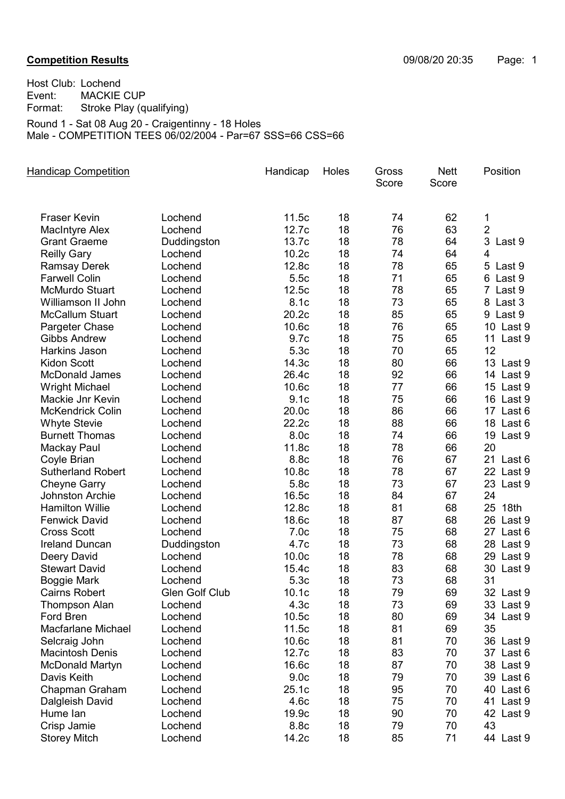Host Club: Lochend<br>Event: MACKIE Event: MACKIE CUP<br>Format: Stroke Play (qu Stroke Play (qualifying) Round 1 - Sat 08 Aug 20 - Craigentinny - 18 Holes

Male - COMPETITION TEES 06/02/2004 - Par=67 SSS=66 CSS=66

| <b>Handicap Competition</b> |                | Handicap          | Holes | Gross<br>Score | <b>Nett</b><br>Score | Position       |
|-----------------------------|----------------|-------------------|-------|----------------|----------------------|----------------|
|                             |                |                   |       |                |                      |                |
| <b>Fraser Kevin</b>         | Lochend        | 11.5c             | 18    | 74             | 62                   | 1              |
| <b>MacIntyre Alex</b>       | Lochend        | 12.7c             | 18    | 76             | 63                   | $\overline{2}$ |
| <b>Grant Graeme</b>         | Duddingston    | 13.7c             | 18    | 78             | 64                   | 3<br>Last 9    |
| <b>Reilly Gary</b>          | Lochend        | 10.2c             | 18    | 74             | 64                   | 4              |
| <b>Ramsay Derek</b>         | Lochend        | 12.8c             | 18    | 78             | 65                   | 5 Last 9       |
| <b>Farwell Colin</b>        | Lochend        | 5.5c              | 18    | 71             | 65                   | 6 Last 9       |
| <b>McMurdo Stuart</b>       | Lochend        | 12.5c             | 18    | 78             | 65                   | 7 Last 9       |
| Williamson II John          | Lochend        | 8.1c              | 18    | 73             | 65                   | 8 Last 3       |
| <b>McCallum Stuart</b>      | Lochend        | 20.2c             | 18    | 85             | 65                   | 9 Last 9       |
| Pargeter Chase              | Lochend        | 10.6c             | 18    | 76             | 65                   | 10 Last 9      |
| <b>Gibbs Andrew</b>         | Lochend        | 9.7c              | 18    | 75             | 65                   | 11 Last 9      |
| Harkins Jason               | Lochend        | 5.3c              | 18    | 70             | 65                   | 12             |
| <b>Kidon Scott</b>          | Lochend        | 14.3c             | 18    | 80             | 66                   | 13 Last 9      |
| <b>McDonald James</b>       | Lochend        | 26.4c             | 18    | 92             | 66                   | 14 Last 9      |
| <b>Wright Michael</b>       | Lochend        | 10.6c             | 18    | 77             | 66                   | 15 Last 9      |
| Mackie Jnr Kevin            | Lochend        | 9.1c              | 18    | 75             | 66                   | 16 Last 9      |
| <b>McKendrick Colin</b>     | Lochend        | 20.0c             | 18    | 86             | 66                   | 17 Last 6      |
| <b>Whyte Stevie</b>         | Lochend        | 22.2c             | 18    | 88             | 66                   | 18 Last 6      |
| <b>Burnett Thomas</b>       | Lochend        | 8.0c              | 18    | 74             | 66                   | 19 Last 9      |
| Mackay Paul                 | Lochend        | 11.8c             | 18    | 78             | 66                   | 20             |
| Coyle Brian                 | Lochend        | 8.8c              | 18    | 76             | 67                   | 21 Last 6      |
| <b>Sutherland Robert</b>    | Lochend        | 10.8c             | 18    | 78             | 67                   | 22 Last 9      |
| <b>Cheyne Garry</b>         | Lochend        | 5.8c              | 18    | 73             | 67                   | 23 Last 9      |
| Johnston Archie             | Lochend        | 16.5c             | 18    | 84             | 67                   | 24             |
| <b>Hamilton Willie</b>      | Lochend        | 12.8c             | 18    | 81             | 68                   | 25 18th        |
| <b>Fenwick David</b>        | Lochend        | 18.6c             | 18    | 87             | 68                   | 26 Last 9      |
| <b>Cross Scott</b>          | Lochend        | 7.0 <sub>c</sub>  | 18    | 75             | 68                   | 27 Last 6      |
| <b>Ireland Duncan</b>       | Duddingston    | 4.7c              | 18    | 73             | 68                   | 28 Last 9      |
| Deery David                 | Lochend        | 10.0 <sub>c</sub> | 18    | 78             | 68                   | 29 Last 9      |
| <b>Stewart David</b>        | Lochend        | 15.4c             | 18    | 83             | 68                   | 30 Last 9      |
| <b>Boggie Mark</b>          | Lochend        | 5.3c              | 18    | 73             | 68                   | 31             |
| <b>Cairns Robert</b>        | Glen Golf Club | 10.1c             | 18    | 79             | 69                   | 32 Last 9      |
| <b>Thompson Alan</b>        | Lochend        | 4.3 <sub>c</sub>  | 18    | 73             | 69                   | 33 Last 9      |
| Ford Bren                   | Lochend        | 10.5c             | 18    | 80             | 69                   | 34 Last 9      |
| <b>Macfarlane Michael</b>   | Lochend        | 11.5c             | 18    | 81             | 69                   | 35             |
| Selcraig John               | Lochend        | 10.6c             | 18    | 81             | 70                   | 36 Last 9      |
| <b>Macintosh Denis</b>      | Lochend        | 12.7c             | 18    | 83             | 70                   | 37 Last 6      |
| <b>McDonald Martyn</b>      | Lochend        | 16.6c             | 18    | 87             | 70                   | 38 Last 9      |
| Davis Keith                 | Lochend        | 9.0 <sub>c</sub>  | 18    | 79             | 70                   | 39 Last 6      |
| Chapman Graham              | Lochend        | 25.1c             | 18    | 95             | 70                   | 40 Last 6      |
| Dalgleish David             | Lochend        | 4.6c              | 18    | 75             | 70                   | 41 Last 9      |
| Hume lan                    | Lochend        | 19.9c             | 18    | 90             | 70                   | 42 Last 9      |
| Crisp Jamie                 | Lochend        | 8.8c              | 18    | 79             | 70                   | 43             |
| <b>Storey Mitch</b>         | Lochend        | 14.2c             | 18    | 85             | 71                   | 44 Last 9      |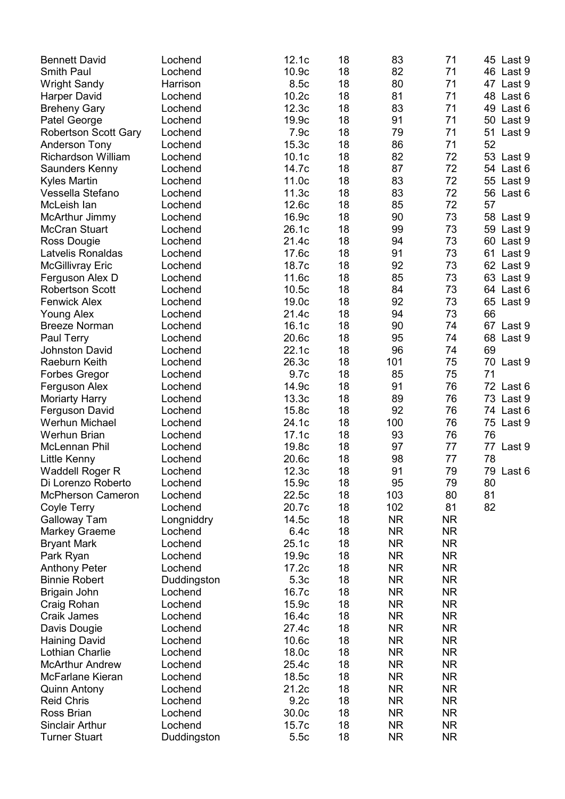| <b>Bennett David</b>        | Lochend     | 12.1c             | 18 | 83        | 71        | 45 Last 9    |
|-----------------------------|-------------|-------------------|----|-----------|-----------|--------------|
| <b>Smith Paul</b>           | Lochend     | 10.9c             | 18 | 82        | 71        | 46 Last 9    |
| <b>Wright Sandy</b>         | Harrison    | 8.5c              | 18 | 80        | 71        | 47 Last 9    |
| <b>Harper David</b>         | Lochend     | 10.2c             | 18 | 81        | 71        | 48<br>Last 6 |
| <b>Breheny Gary</b>         | Lochend     | 12.3c             | 18 | 83        | 71        | 49<br>Last 6 |
| Patel George                | Lochend     | 19.9c             | 18 | 91        | 71        | 50 Last 9    |
|                             | Lochend     | 7.9c              | 18 | 79        | 71        | 51<br>Last 9 |
| <b>Robertson Scott Gary</b> | Lochend     | 15.3c             | 18 | 86        | 71        | 52           |
| <b>Anderson Tony</b>        |             |                   |    |           |           |              |
| <b>Richardson William</b>   | Lochend     | 10.1c             | 18 | 82        | 72        | 53<br>Last 9 |
| Saunders Kenny              | Lochend     | 14.7c             | 18 | 87        | 72        | 54 Last 6    |
| <b>Kyles Martin</b>         | Lochend     | 11.0c             | 18 | 83        | 72        | 55 Last 9    |
| Vessella Stefano            | Lochend     | 11.3c             | 18 | 83        | 72        | 56<br>Last 6 |
| McLeish lan                 | Lochend     | 12.6c             | 18 | 85        | 72        | 57           |
| McArthur Jimmy              | Lochend     | 16.9c             | 18 | 90        | 73        | 58 Last 9    |
| <b>McCran Stuart</b>        | Lochend     | 26.1c             | 18 | 99        | 73        | 59 Last 9    |
| Ross Dougie                 | Lochend     | 21.4c             | 18 | 94        | 73        | 60 Last 9    |
| Latvelis Ronaldas           | Lochend     | 17.6c             | 18 | 91        | 73        | 61<br>Last 9 |
| <b>McGillivray Eric</b>     | Lochend     | 18.7c             | 18 | 92        | 73        | 62 Last 9    |
| Ferguson Alex D             | Lochend     | 11.6c             | 18 | 85        | 73        | 63 Last 9    |
| <b>Robertson Scott</b>      | Lochend     | 10.5c             | 18 | 84        | 73        | 64 Last 6    |
| <b>Fenwick Alex</b>         | Lochend     | 19.0c             | 18 | 92        | 73        | 65<br>Last 9 |
| <b>Young Alex</b>           | Lochend     | 21.4c             | 18 | 94        | 73        | 66           |
| <b>Breeze Norman</b>        | Lochend     | 16.1c             | 18 | 90        | 74        | 67 Last 9    |
| Paul Terry                  | Lochend     | 20.6c             | 18 | 95        | 74        | 68<br>Last 9 |
| <b>Johnston David</b>       | Lochend     | 22.1c             | 18 | 96        | 74        | 69           |
| Raeburn Keith               | Lochend     | 26.3c             | 18 | 101       | 75        | 70<br>Last 9 |
| <b>Forbes Gregor</b>        | Lochend     | 9.7c              | 18 | 85        | 75        | 71           |
| Ferguson Alex               | Lochend     | 14.9c             | 18 | 91        | 76        | 72 Last 6    |
| <b>Moriarty Harry</b>       | Lochend     | 13.3c             | 18 | 89        | 76        | 73 Last 9    |
| Ferguson David              | Lochend     | 15.8c             | 18 | 92        | 76        | 74 Last 6    |
| Werhun Michael              | Lochend     | 24.1c             | 18 | 100       | 76        | 75 Last 9    |
| <b>Werhun Brian</b>         | Lochend     | 17.1c             | 18 | 93        | 76        | 76           |
| <b>McLennan Phil</b>        | Lochend     | 19.8c             | 18 | 97        | 77        | 77 Last 9    |
| Little Kenny                | Lochend     | 20.6c             | 18 | 98        | 77        | 78           |
| <b>Waddell Roger R</b>      | Lochend     | 12.3c             | 18 | 91        | 79        | 79 Last 6    |
| Di Lorenzo Roberto          | Lochend     | 15.9c             | 18 | 95        | 79        | 80           |
| <b>McPherson Cameron</b>    | Lochend     | 22.5c             | 18 | 103       | 80        | 81           |
|                             |             |                   |    | 102       |           | 82           |
| Coyle Terry                 | Lochend     | 20.7c             | 18 |           | 81        |              |
| Galloway Tam                | Longniddry  | 14.5c             | 18 | <b>NR</b> | <b>NR</b> |              |
| Markey Graeme               | Lochend     | 6.4c              | 18 | <b>NR</b> | <b>NR</b> |              |
| <b>Bryant Mark</b>          | Lochend     | 25.1c             | 18 | <b>NR</b> | <b>NR</b> |              |
| Park Ryan                   | Lochend     | 19.9c             | 18 | <b>NR</b> | <b>NR</b> |              |
| <b>Anthony Peter</b>        | Lochend     | 17.2c             | 18 | <b>NR</b> | <b>NR</b> |              |
| <b>Binnie Robert</b>        | Duddingston | 5.3c              | 18 | <b>NR</b> | <b>NR</b> |              |
| Brigain John                | Lochend     | 16.7c             | 18 | <b>NR</b> | <b>NR</b> |              |
| Craig Rohan                 | Lochend     | 15.9c             | 18 | <b>NR</b> | <b>NR</b> |              |
| Craik James                 | Lochend     | 16.4c             | 18 | <b>NR</b> | <b>NR</b> |              |
| Davis Dougie                | Lochend     | 27.4c             | 18 | <b>NR</b> | <b>NR</b> |              |
| <b>Haining David</b>        | Lochend     | 10.6 <sub>c</sub> | 18 | <b>NR</b> | <b>NR</b> |              |
| Lothian Charlie             | Lochend     | 18.0c             | 18 | <b>NR</b> | <b>NR</b> |              |
| <b>McArthur Andrew</b>      | Lochend     | 25.4c             | 18 | <b>NR</b> | <b>NR</b> |              |
| McFarlane Kieran            | Lochend     | 18.5c             | 18 | <b>NR</b> | <b>NR</b> |              |
| <b>Quinn Antony</b>         | Lochend     | 21.2c             | 18 | <b>NR</b> | <b>NR</b> |              |
| <b>Reid Chris</b>           | Lochend     | 9.2c              | 18 | <b>NR</b> | <b>NR</b> |              |
| Ross Brian                  | Lochend     | 30.0c             | 18 | <b>NR</b> | <b>NR</b> |              |
| <b>Sinclair Arthur</b>      | Lochend     | 15.7c             | 18 | NR.       | <b>NR</b> |              |
| <b>Turner Stuart</b>        | Duddingston | 5.5c              | 18 | <b>NR</b> | <b>NR</b> |              |
|                             |             |                   |    |           |           |              |